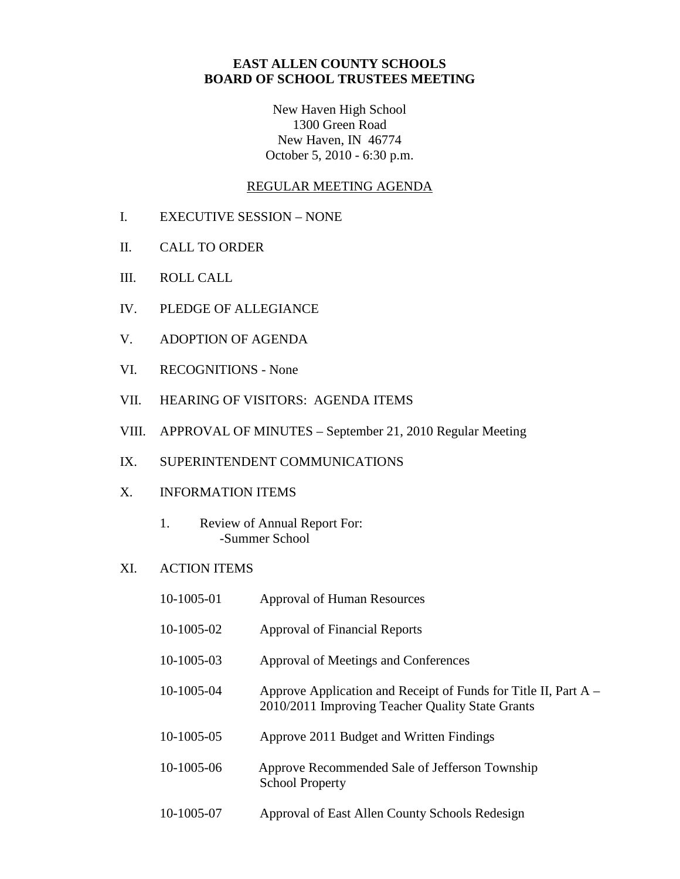## **EAST ALLEN COUNTY SCHOOLS BOARD OF SCHOOL TRUSTEES MEETING**

New Haven High School 1300 Green Road New Haven, IN 46774 October 5, 2010 - 6:30 p.m.

## REGULAR MEETING AGENDA

- I. EXECUTIVE SESSION NONE
- II. CALL TO ORDER
- III. ROLL CALL
- IV. PLEDGE OF ALLEGIANCE
- V. ADOPTION OF AGENDA
- VI. RECOGNITIONS None
- VII. HEARING OF VISITORS: AGENDA ITEMS
- VIII. APPROVAL OF MINUTES September 21, 2010 Regular Meeting
- IX. SUPERINTENDENT COMMUNICATIONS
- X. INFORMATION ITEMS
	- 1. Review of Annual Report For: -Summer School
- XI. ACTION ITEMS

| 10-1005-01 | <b>Approval of Human Resources</b>                                                                                    |
|------------|-----------------------------------------------------------------------------------------------------------------------|
| 10-1005-02 | Approval of Financial Reports                                                                                         |
| 10-1005-03 | Approval of Meetings and Conferences                                                                                  |
| 10-1005-04 | Approve Application and Receipt of Funds for Title II, Part $A -$<br>2010/2011 Improving Teacher Quality State Grants |
| 10-1005-05 | Approve 2011 Budget and Written Findings                                                                              |
| 10-1005-06 | Approve Recommended Sale of Jefferson Township<br><b>School Property</b>                                              |
| 10-1005-07 | Approval of East Allen County Schools Redesign                                                                        |